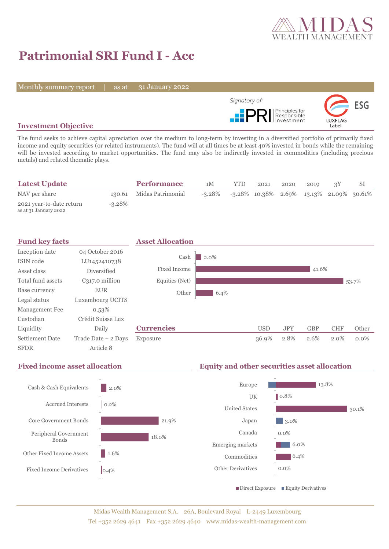

30.1%

# **Patrimonial SRI Fund I - Acc**

Monthly summary report | as at

31 January 2022



### **Investment Objective**

The fund seeks to achieve capital apreciation over the medium to long-term by investing in a diversified portfolio of primarily fixed income and equity securities (or related instruments). The fund will at all times be at least 40% invested in bonds while the remaining will be invested according to market opportunities. The fund may also be indirectly invested in commodities (including precious metals) and related thematic plays.

| <b>Latest Update</b>                              |           | <b>Performance</b>       | 1M                                                    | <b>YTD</b> | 2021 | 2020 | 2019 |  |
|---------------------------------------------------|-----------|--------------------------|-------------------------------------------------------|------------|------|------|------|--|
| NAV per share                                     |           | 130.61 Midas Patrimonial | $-3.28\%$ $-3.28\%$ 10.38% 2.69% 13.13% 21.09% 30.61% |            |      |      |      |  |
| 2021 year-to-date return<br>as at 31 January 2022 | $-3.28\%$ |                          |                                                       |            |      |      |      |  |



### **Fixed income asset allocation Equity and other securities asset allocation** 2.0% 0.2% 21.9% 18.0% 1.6%  $0.4%$ Cash & Cash Equivalents Accrued Interests Core Government Bonds Peripheral Government Bonds Other Fixed Income Assets Fixed Income Derivatives 13.8% 0.8% 3.0% 0.0% 6.0%  $\blacksquare$  6.4% 0.0% Europe UK United States Japan Canada Emerging markets Commodities Other Derivatives Direct Exposure Equity Derivatives

### Midas Wealth Management S.A. 26A, Boulevard Royal L-2449 Luxembourg Tel +352 2629 4641 Fax +352 2629 4640 www.midas-wealth-management.com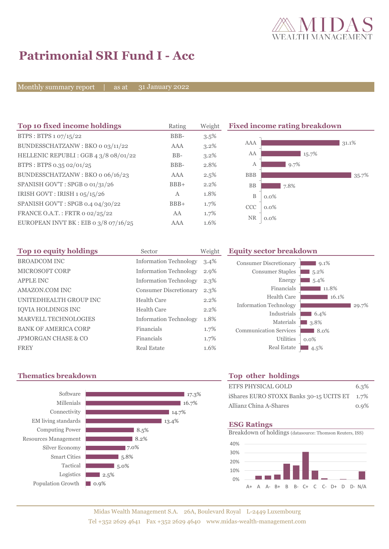

## **Patrimonial SRI Fund I - Acc**

Monthly summary report | as at 31 January 2022

| Top 10 fixed income holdings            | Rating | Weight  |            | <b>Fixed income rating breakdown</b> |
|-----------------------------------------|--------|---------|------------|--------------------------------------|
| BTPS: BTPS 1 07/15/22                   | BBB-   | 3.5%    |            |                                      |
| BUNDESSCHATZANW: BKO o 03/11/22         | AAA    | $3.2\%$ | <b>AAA</b> | 31.1%                                |
| HELLENIC REPUBLI: GGB 4 3/8 08/01/22    | $BB-$  | $3.2\%$ | AA         | 15.7%                                |
| BTPS: BTPS 0.35 02/01/25                | BBB-   | 2.8%    | A          | 9.7%                                 |
| BUNDESSCHATZANW: BKO o 06/16/23         | AAA    | 2.5%    | <b>BBB</b> | 35.7%                                |
| SPANISH GOV'T: SPGB o 01/31/26          | $BBB+$ | 2.2%    | BB         | 7.8%                                 |
| IRISH GOVT : IRISH 1 05/15/26           | A      | 1.8%    | B          | $0.0\%$                              |
| SPANISH GOV'T: SPGB 0.4 04/30/22        | $BBB+$ | 1.7%    | <b>CCC</b> | $0.0\%$                              |
| FRANCE O.A.T.: FRTR 0 02/25/22          | AA     | 1.7%    | <b>NR</b>  |                                      |
| EUROPEAN INVT BK : EIB o $3/8$ o7/16/25 | AAA    | 1.6%    |            | $0.0\%$                              |

| Top 10 equity holdings      | Sector                        | Weight  | F |
|-----------------------------|-------------------------------|---------|---|
| <b>BROADCOM INC</b>         | <b>Information Technology</b> | $3.4\%$ |   |
| <b>MICROSOFT CORP</b>       | <b>Information Technology</b> | 2.9%    |   |
| <b>APPLE INC</b>            | <b>Information Technology</b> | $2.3\%$ |   |
| <b>AMAZON.COM INC</b>       | <b>Consumer Discretionary</b> | $2.3\%$ |   |
| UNITEDHEALTH GROUP INC      | Health Care                   | $2.2\%$ |   |
| IQVIA HOLDINGS INC          | Health Care                   | $2.2\%$ |   |
| <b>MARVELL TECHNOLOGIES</b> | <b>Information Technology</b> | 1.8%    |   |
| <b>BANK OF AMERICA CORP</b> | Financials                    | 1.7%    |   |
| JPMORGAN CHASE & CO         | Financials                    | 1.7%    |   |
| <b>FREY</b>                 | Real Estate                   | 1.6%    |   |

### **Top 10 equity holdings** Sector Weight **Equity sector breakdown**

| <b>Consumer Discretionary</b><br><b>Consumer Staples</b><br>Energy<br>Financials<br>Health Care | 9.1%<br>5.2%<br>5.4%<br>11.8%<br>16.1% |       |
|-------------------------------------------------------------------------------------------------|----------------------------------------|-------|
| <b>Information Technology</b><br>Industrials                                                    | 6.4%                                   | 29.7% |
| Materials                                                                                       | 3.8%                                   |       |
| <b>Communication Services</b>                                                                   | 8.0%                                   |       |
| <b>Utilities</b><br><b>Real Estate</b>                                                          | $0.0\%$<br>4.5%                        |       |

## **Thematics breakdown Top other holdings**



| ETFS PHYSICAL GOLD                           | 6.3% |
|----------------------------------------------|------|
| iShares EURO STOXX Banks 30-15 UCITS ET 1.7% |      |
| Allianz China A-Shares                       | 0.9% |

### **ESG Ratings**

Breakdown of holdings (datasource: Thomson Reuters, ISS)